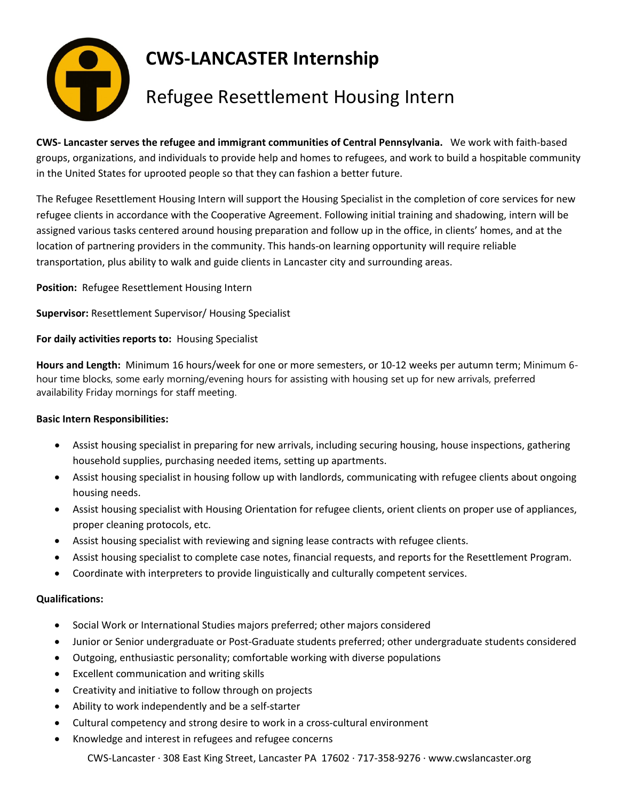

## **CWS-LANCASTER Internship**

## Refugee Resettlement Housing Intern

**CWS- Lancaster serves the refugee and immigrant communities of Central Pennsylvania.** We work with faith-based groups, organizations, and individuals to provide help and homes to refugees, and work to build a hospitable community in the United States for uprooted people so that they can fashion a better future.

The Refugee Resettlement Housing Intern will support the Housing Specialist in the completion of core services for new refugee clients in accordance with the Cooperative Agreement. Following initial training and shadowing, intern will be assigned various tasks centered around housing preparation and follow up in the office, in clients' homes, and at the location of partnering providers in the community. This hands-on learning opportunity will require reliable transportation, plus ability to walk and guide clients in Lancaster city and surrounding areas.

**Position:** Refugee Resettlement Housing Intern

**Supervisor:** Resettlement Supervisor/ Housing Specialist

**For daily activities reports to:** Housing Specialist

**Hours and Length:** Minimum 16 hours/week for one or more semesters, or 10-12 weeks per autumn term; Minimum 6 hour time blocks, some early morning/evening hours for assisting with housing set up for new arrivals, preferred availability Friday mornings for staff meeting.

## **Basic Intern Responsibilities:**

- Assist housing specialist in preparing for new arrivals, including securing housing, house inspections, gathering household supplies, purchasing needed items, setting up apartments.
- Assist housing specialist in housing follow up with landlords, communicating with refugee clients about ongoing housing needs.
- Assist housing specialist with Housing Orientation for refugee clients, orient clients on proper use of appliances, proper cleaning protocols, etc.
- Assist housing specialist with reviewing and signing lease contracts with refugee clients.
- Assist housing specialist to complete case notes, financial requests, and reports for the Resettlement Program.
- Coordinate with interpreters to provide linguistically and culturally competent services.

## **Qualifications:**

- Social Work or International Studies majors preferred; other majors considered
- Junior or Senior undergraduate or Post-Graduate students preferred; other undergraduate students considered
- Outgoing, enthusiastic personality; comfortable working with diverse populations
- Excellent communication and writing skills
- Creativity and initiative to follow through on projects
- Ability to work independently and be a self-starter
- Cultural competency and strong desire to work in a cross-cultural environment
- Knowledge and interest in refugees and refugee concerns

CWS-Lancaster ∙ 308 East King Street, Lancaster PA 17602 ∙ 717-358-9276 ∙ www.cwslancaster.org